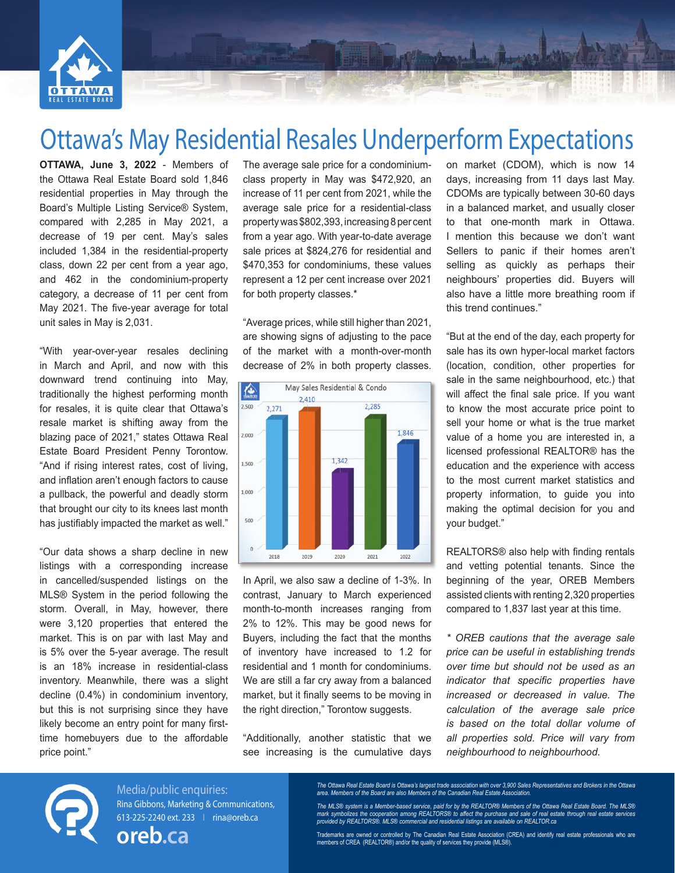

# Ottawa's May Residential Resales Underperform Expectations

**OTTAWA, June 3, 2022** - Members of the Ottawa Real Estate Board sold 1,846 residential properties in May through the Board's Multiple Listing Service® System, compared with 2,285 in May 2021, a decrease of 19 per cent. May's sales included 1,384 in the residential-property class, down 22 per cent from a year ago, and 462 in the condominium-property category, a decrease of 11 per cent from May 2021. The five-year average for total unit sales in May is 2,031.

"With year-over-year resales declining in March and April, and now with this downward trend continuing into May, traditionally the highest performing month for resales, it is quite clear that Ottawa's resale market is shifting away from the blazing pace of 2021," states Ottawa Real Estate Board President Penny Torontow. "And if rising interest rates, cost of living, and inflation aren't enough factors to cause a pullback, the powerful and deadly storm that brought our city to its knees last month has justifiably impacted the market as well."

"Our data shows a sharp decline in new listings with a corresponding increase in cancelled/suspended listings on the MLS® System in the period following the storm. Overall, in May, however, there were 3,120 properties that entered the market. This is on par with last May and is 5% over the 5-year average. The result is an 18% increase in residential-class inventory. Meanwhile, there was a slight decline (0.4%) in condominium inventory, but this is not surprising since they have likely become an entry point for many firsttime homebuyers due to the affordable price point."

The average sale price for a condominiumclass property in May was \$472,920, an increase of 11 per cent from 2021, while the average sale price for a residential-class property was \$802,393, increasing 8 per cent from a year ago. With year-to-date average sale prices at \$824,276 for residential and \$470,353 for condominiums, these values represent a 12 per cent increase over 2021 for both property classes.\*

"Average prices, while still higher than 2021, are showing signs of adjusting to the pace of the market with a month-over-month decrease of 2% in both property classes.



In April, we also saw a decline of 1-3%. In contrast, January to March experienced month-to-month increases ranging from 2% to 12%. This may be good news for Buyers, including the fact that the months of inventory have increased to 1.2 for residential and 1 month for condominiums. We are still a far cry away from a balanced market, but it finally seems to be moving in the right direction," Torontow suggests.

"Additionally, another statistic that we see increasing is the cumulative days

on market (CDOM), which is now 14 days, increasing from 11 days last May. CDOMs are typically between 30-60 days in a balanced market, and usually closer to that one-month mark in Ottawa. I mention this because we don't want Sellers to panic if their homes aren't selling as quickly as perhaps their neighbours' properties did. Buyers will also have a little more breathing room if this trend continues."

Mingham La Ban

"But at the end of the day, each property for sale has its own hyper-local market factors (location, condition, other properties for sale in the same neighbourhood, etc.) that will affect the final sale price. If you want to know the most accurate price point to sell your home or what is the true market value of a home you are interested in, a licensed professional REALTOR® has the education and the experience with access to the most current market statistics and property information, to guide you into making the optimal decision for you and your budget."

REALTORS® also help with finding rentals and vetting potential tenants. Since the beginning of the year, OREB Members assisted clients with renting 2,320 properties compared to 1,837 last year at this time.

*\* OREB cautions that the average sale price can be useful in establishing trends over time but should not be used as an indicator that specific properties have increased or decreased in value. The calculation of the average sale price is based on the total dollar volume of all properties sold. Price will vary from neighbourhood to neighbourhood.*



Media/public enquiries: Rina Gibbons, Marketing & Communications, 613-225-2240 ext. 233 I rina@oreb.ca

**oreb.ca**

The Ottawa Real Estate Board is Ottawa's largest trade association with over 3,900 Sales Representatives and Brokers in the Ottawa<br>area. Members of the Board are also Members of the Canadian Real Estate Association.

The MLS® system is a Member-based service, paid for by the REALTOR® Members of the Ottawa Real Estate Board. The MLS®<br>mark symbolizes the cooperation among REALTORS® to affect the purchase and sale of real estate through

Trademarks are owned or controlled by The Canadian Real Estate Association (CREA) and identify real estate professionals who are members of CREA (REALTOR®) and/or the quality of services they provide (MLS®).